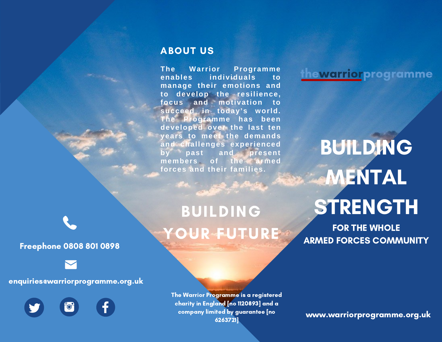## ABOUT US

**The Warrior Programme enables individuals to manage their emotions and to develop the resilience, focus and motivation to succeed in today's world. The Programme has been developed over the last ten years to meet the demands and challenges experienced by past and present members of the armed forces and their families.**

# BUILDING YOUR FUTURE

thewarriorprogramme

BUILDING **MENTAL** STRENGTH

FOR THE WHOLE ARMED FORCES COMMUNITY

Freephone 0808 801 0898

#### enquiries@warriorprogramme.org.uk

The Warrior Programme is a registered charity in England [no 1120893] and a company limited by guarantee [no 6263721]

www.warriorprogramme.org.uk